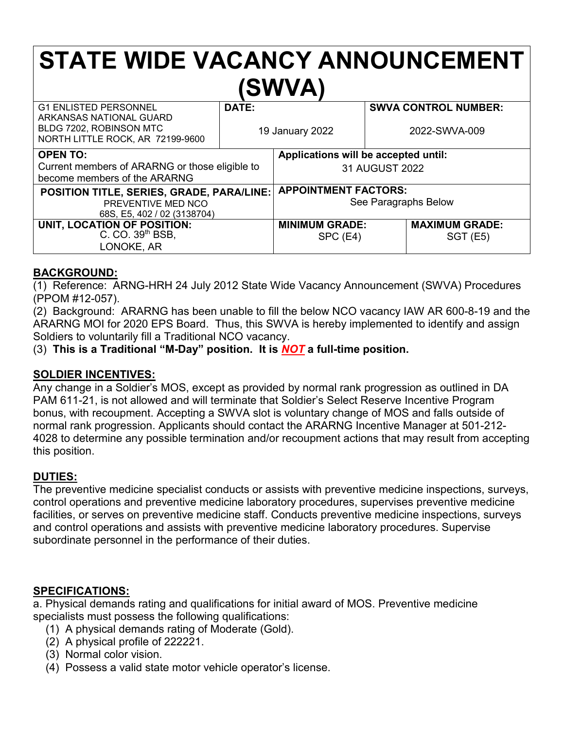# **STATE WIDE VACANCY ANNOUNCEMENT (SWVA)**

| <b>G1 ENLISTED PERSONNEL</b><br>ARKANSAS NATIONAL GUARD     | DATE:           |                                      | <b>SWVA CONTROL NUMBER:</b> |  |
|-------------------------------------------------------------|-----------------|--------------------------------------|-----------------------------|--|
| BLDG 7202, ROBINSON MTC<br>NORTH LITTLE ROCK, AR 72199-9600 | 19 January 2022 |                                      | 2022-SWVA-009               |  |
| <b>OPEN TO:</b>                                             |                 | Applications will be accepted until: |                             |  |
| Current members of ARARNG or those eligible to              |                 | 31 AUGUST 2022                       |                             |  |
| become members of the ARARNG                                |                 |                                      |                             |  |
| <b>POSITION TITLE, SERIES, GRADE, PARA/LINE:</b>            |                 | <b>APPOINTMENT FACTORS:</b>          |                             |  |
| PREVENTIVE MED NCO                                          |                 | See Paragraphs Below                 |                             |  |
| 68S, E5, 402 / 02 (3138704)                                 |                 |                                      |                             |  |
| UNIT, LOCATION OF POSITION:                                 |                 | <b>MINIMUM GRADE:</b>                | <b>MAXIMUM GRADE:</b>       |  |
| C. CO. 39th BSB,                                            |                 | SPC (E4)                             | SGT(E5)                     |  |
| LONOKE, AR                                                  |                 |                                      |                             |  |

### **BACKGROUND:**

(1) Reference: ARNG-HRH 24 July 2012 State Wide Vacancy Announcement (SWVA) Procedures (PPOM #12-057).

(2) Background: ARARNG has been unable to fill the below NCO vacancy IAW AR 600-8-19 and the ARARNG MOI for 2020 EPS Board. Thus, this SWVA is hereby implemented to identify and assign Soldiers to voluntarily fill a Traditional NCO vacancy.

(3) **This is a Traditional "M-Day" position. It is** *NOT* **a full-time position.**

#### **SOLDIER INCENTIVES:**

Any change in a Soldier's MOS, except as provided by normal rank progression as outlined in DA PAM 611-21, is not allowed and will terminate that Soldier's Select Reserve Incentive Program bonus, with recoupment. Accepting a SWVA slot is voluntary change of MOS and falls outside of normal rank progression. Applicants should contact the ARARNG Incentive Manager at 501-212- 4028 to determine any possible termination and/or recoupment actions that may result from accepting this position.

#### **DUTIES:**

The preventive medicine specialist conducts or assists with preventive medicine inspections, surveys, control operations and preventive medicine laboratory procedures, supervises preventive medicine facilities, or serves on preventive medicine staff. Conducts preventive medicine inspections, surveys and control operations and assists with preventive medicine laboratory procedures. Supervise subordinate personnel in the performance of their duties.

#### **SPECIFICATIONS:**

a. Physical demands rating and qualifications for initial award of MOS. Preventive medicine specialists must possess the following qualifications:

- (1) A physical demands rating of Moderate (Gold).
- (2) A physical profile of 222221.
- (3) Normal color vision.
- (4) Possess a valid state motor vehicle operator's license.